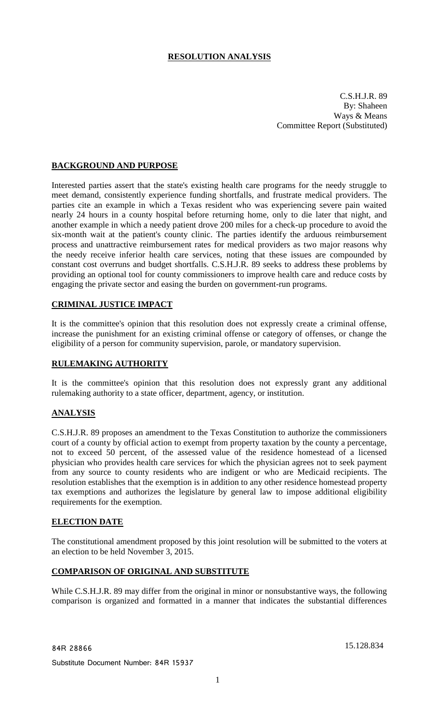# **RESOLUTION ANALYSIS**

C.S.H.J.R. 89 By: Shaheen Ways & Means Committee Report (Substituted)

## **BACKGROUND AND PURPOSE**

Interested parties assert that the state's existing health care programs for the needy struggle to meet demand, consistently experience funding shortfalls, and frustrate medical providers. The parties cite an example in which a Texas resident who was experiencing severe pain waited nearly 24 hours in a county hospital before returning home, only to die later that night, and another example in which a needy patient drove 200 miles for a check-up procedure to avoid the six-month wait at the patient's county clinic. The parties identify the arduous reimbursement process and unattractive reimbursement rates for medical providers as two major reasons why the needy receive inferior health care services, noting that these issues are compounded by constant cost overruns and budget shortfalls. C.S.H.J.R. 89 seeks to address these problems by providing an optional tool for county commissioners to improve health care and reduce costs by engaging the private sector and easing the burden on government-run programs.

### **CRIMINAL JUSTICE IMPACT**

It is the committee's opinion that this resolution does not expressly create a criminal offense, increase the punishment for an existing criminal offense or category of offenses, or change the eligibility of a person for community supervision, parole, or mandatory supervision.

#### **RULEMAKING AUTHORITY**

It is the committee's opinion that this resolution does not expressly grant any additional rulemaking authority to a state officer, department, agency, or institution.

### **ANALYSIS**

C.S.H.J.R. 89 proposes an amendment to the Texas Constitution to authorize the commissioners court of a county by official action to exempt from property taxation by the county a percentage, not to exceed 50 percent, of the assessed value of the residence homestead of a licensed physician who provides health care services for which the physician agrees not to seek payment from any source to county residents who are indigent or who are Medicaid recipients. The resolution establishes that the exemption is in addition to any other residence homestead property tax exemptions and authorizes the legislature by general law to impose additional eligibility requirements for the exemption.

### **ELECTION DATE**

The constitutional amendment proposed by this joint resolution will be submitted to the voters at an election to be held November 3, 2015.

### **COMPARISON OF ORIGINAL AND SUBSTITUTE**

While C.S.H.J.R. 89 may differ from the original in minor or nonsubstantive ways, the following comparison is organized and formatted in a manner that indicates the substantial differences